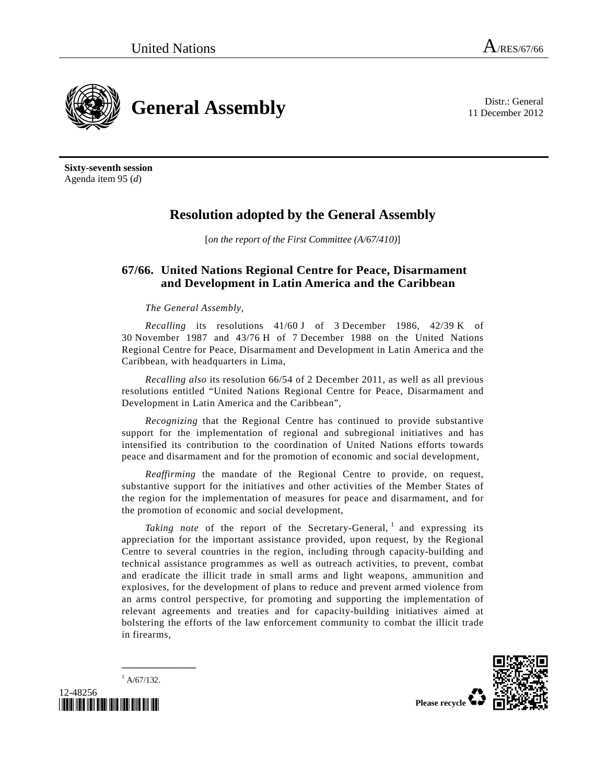11 December 2012



**Sixty-seventh session**  Agenda item 95 (*d*)

## **Resolution adopted by the General Assembly**

[*on the report of the First Committee (A/67/410)*]

## **67/66. United Nations Regional Centre for Peace, Disarmament and Development in Latin America and the Caribbean**

*The General Assembly*,

*Recalling* its resolutions 41/60 J of 3 December 1986, 42/39 K of 30 November 1987 and 43/76 H of 7 December 1988 on the United Nations Regional Centre for Peace, Disarmament and Development in Latin America and the Caribbean, with headquarters in Lima,

*Recalling also* its resolution 66/54 of 2 December 2011, as well as all previous resolutions entitled "United Nations Regional Centre for Peace, Disarmament and Development in Latin America and the Caribbean",

*Recognizing* that the Regional Centre has continued to provide substantive support for the implementation of regional and subregional initiatives and has intensified its contribution to the coordination of United Nations efforts towards peace and disarmament and for the promotion of economic and social development,

*Reaffirming* the mandate of the Regional Centre to provide, on request, substantive support for the initiatives and other activities of the Member States of the region for the implementation of measures for peace and disarmament, and for the promotion of economic and social development,

Taking note of the report of the Secretary-General, <sup>1</sup> and expressing its appreciation for the important assistance provided, upon request, by the Regional Centre to several countries in the region, including through capacity-building and technical assistance programmes as well as outreach activities, to prevent, combat and eradicate the illicit trade in small arms and light weapons, ammunition and explosives, for the development of plans to reduce and prevent armed violence from an arms control perspective, for promoting and supporting the implementation of relevant agreements and treaties and for capacity-building initiatives aimed at bolstering the efforts of the law enforcement community to combat the illicit trade in firearms,



 $^{1}$  A/67/132.

**\_\_\_\_\_\_\_\_\_\_\_\_\_\_\_** 

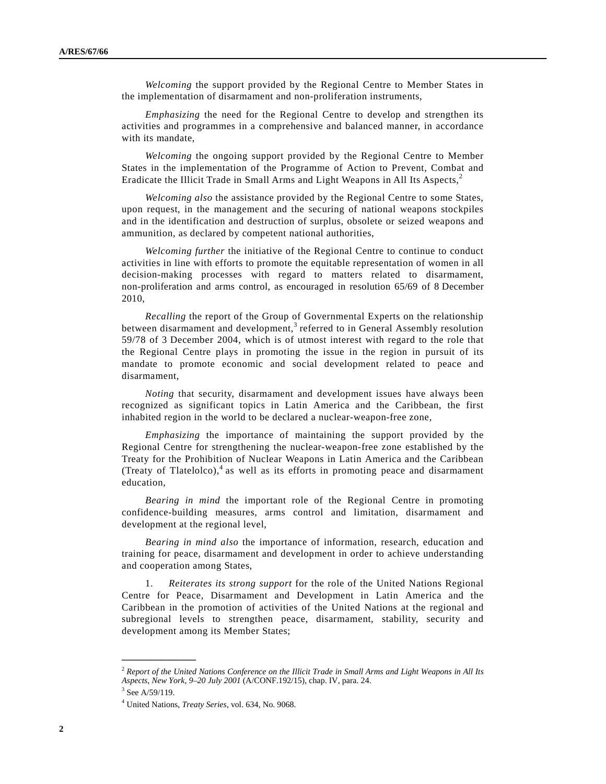*Welcoming* the support provided by the Regional Centre to Member States in the implementation of disarmament and non-proliferation instruments,

*Emphasizing* the need for the Regional Centre to develop and strengthen its activities and programmes in a comprehensive and balanced manner, in accordance with its mandate,

*Welcoming* the ongoing support provided by the Regional Centre to Member States in the implementation of the Programme of Action to Prevent, Combat and Eradicate the Illicit Trade in Small Arms and Light Weapons in All Its Aspects,<sup>2</sup>

*Welcoming also* the assistance provided by the Regional Centre to some States, upon request, in the management and the securing of national weapons stockpiles and in the identification and destruction of surplus, obsolete or seized weapons and ammunition, as declared by competent national authorities,

*Welcoming further* the initiative of the Regional Centre to continue to conduct activities in line with efforts to promote the equitable representation of women in all decision-making processes with regard to matters related to disarmament, non-proliferation and arms control, as encouraged in resolution 65/69 of 8 December 2010,

*Recalling* the report of the Group of Governmental Experts on the relationship between disarmament and development,<sup>3</sup> referred to in General Assembly resolution 59/78 of 3 December 2004, which is of utmost interest with regard to the role that the Regional Centre plays in promoting the issue in the region in pursuit of its mandate to promote economic and social development related to peace and disarmament,

*Noting* that security, disarmament and development issues have always been recognized as significant topics in Latin America and the Caribbean, the first inhabited region in the world to be declared a nuclear-weapon-free zone,

*Emphasizing* the importance of maintaining the support provided by the Regional Centre for strengthening the nuclear-weapon-free zone established by the Treaty for the Prohibition of Nuclear Weapons in Latin America and the Caribbean (Treaty of Tlatelolco), $4$  as well as its efforts in promoting peace and disarmament education,

*Bearing in mind* the important role of the Regional Centre in promoting confidence-building measures, arms control and limitation, disarmament and development at the regional level,

*Bearing in mind also* the importance of information, research, education and training for peace, disarmament and development in order to achieve understanding and cooperation among States,

 1. *Reiterates its strong support* for the role of the United Nations Regional Centre for Peace, Disarmament and Development in Latin America and the Caribbean in the promotion of activities of the United Nations at the regional and subregional levels to strengthen peace, disarmament, stability, security and development among its Member States;

**\_\_\_\_\_\_\_\_\_\_\_\_\_\_\_** 

<sup>2</sup> *Report of the United Nations Conference on the Illicit Trade in Small Arms and Light Weapons in All Its Aspects, New York, 9–20 July 2001* (A/CONF.192/15), chap. IV, para. 24.

 $3$  See A/59/119.

<sup>4</sup> United Nations, *Treaty Series*, vol. 634, No. 9068.